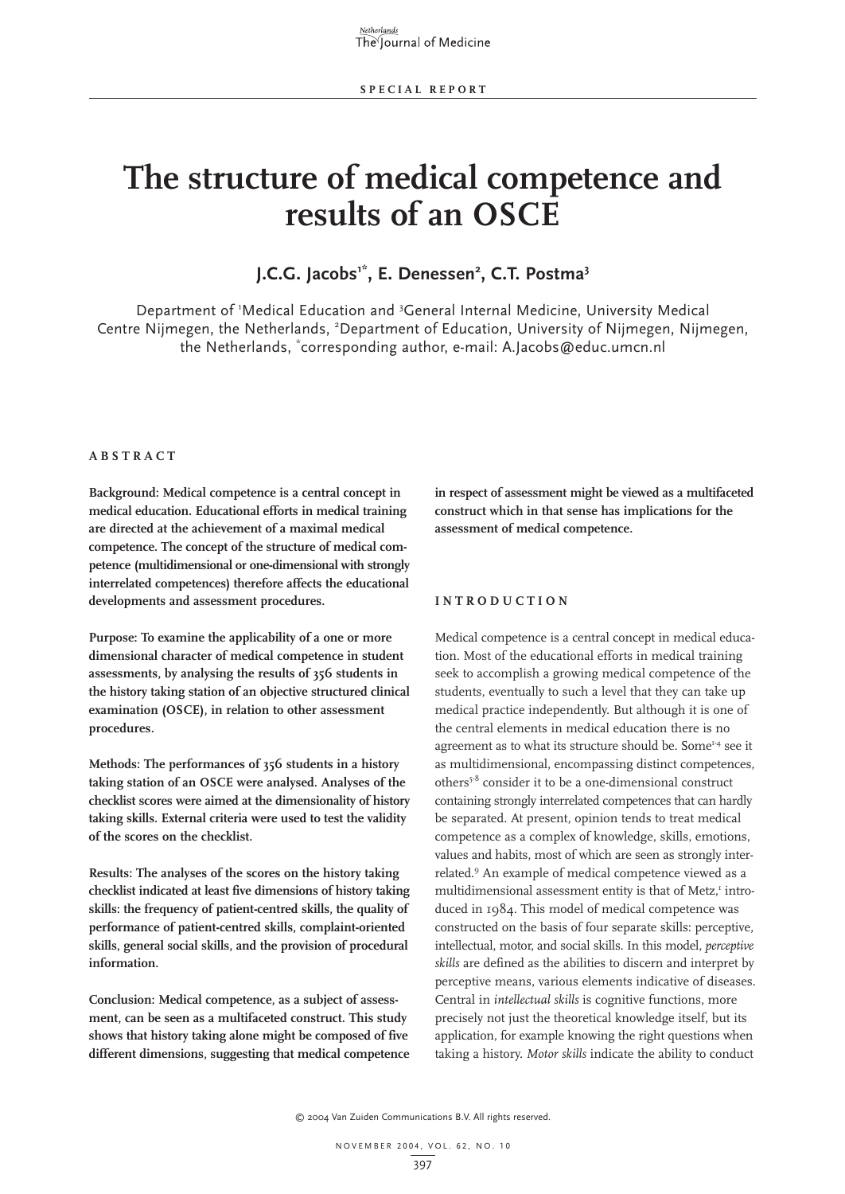# **The structure of medical competence and results of an OSCE**

### **J.C.G. Jacobs1\*, E. Denessen2 , C.T. Postma3**

Department of 'Medical Education and <sup>3</sup>General Internal Medicine, University Medical Centre Nijmegen, the Netherlands, <sup>2</sup>Department of Education, University of Nijmegen, Nijmegen, the Netherlands, \* corresponding author, e-mail: A.Jacobs@educ.umcn.nl

#### **ABSTRACT**

**Background: Medical competence is a central concept in medical education. Educational efforts in medical training are directed at the achievement of a maximal medical competence. The concept of the structure of medical competence (multidimensional or one-dimensional with strongly interrelated competences) therefore affects the educational developments and assessment procedures.**

**Purpose: To examine the applicability of a one or more dimensional character of medical competence in student assessments, by analysing the results of 356 students in the history taking station of an objective structured clinical examination (OSCE), in relation to other assessment procedures.**

**Methods: The performances of 356 students in a history taking station of an OSCE were analysed. Analyses of the checklist scores were aimed at the dimensionality of history taking skills. External criteria were used to test the validity of the scores on the checklist.**

**Results: The analyses of the scores on the history taking checklist indicated at least five dimensions of history taking skills: the frequency of patient-centred skills, the quality of performance of patient-centred skills, complaint-oriented skills, general social skills, and the provision of procedural information.**

**Conclusion: Medical competence, as a subject of assessment, can be seen as a multifaceted construct. This study shows that history taking alone might be composed of five different dimensions, suggesting that medical competence** **in respect of assessment might be viewed as a multifaceted construct which in that sense has implications for the assessment of medical competence.**

#### **INTRODUCTION**

Medical competence is a central concept in medical education. Most of the educational efforts in medical training seek to accomplish a growing medical competence of the students, eventually to such a level that they can take up medical practice independently. But although it is one of the central elements in medical education there is no agreement as to what its structure should be. Some<sup>1-4</sup> see it as multidimensional, encompassing distinct competences, others5-8 consider it to be a one-dimensional construct containing strongly interrelated competences that can hardly be separated. At present, opinion tends to treat medical competence as a complex of knowledge, skills, emotions, values and habits, most of which are seen as strongly interrelated.9 An example of medical competence viewed as a multidimensional assessment entity is that of Metz,<sup>1</sup> introduced in 1984. This model of medical competence was constructed on the basis of four separate skills: perceptive, intellectual, motor, and social skills. In this model, *perceptive skills* are defined as the abilities to discern and interpret by perceptive means, various elements indicative of diseases. Central in *intellectual skills* is cognitive functions, more precisely not just the theoretical knowledge itself, but its application, for example knowing the right questions when taking a history. *Motor skills* indicate the ability to conduct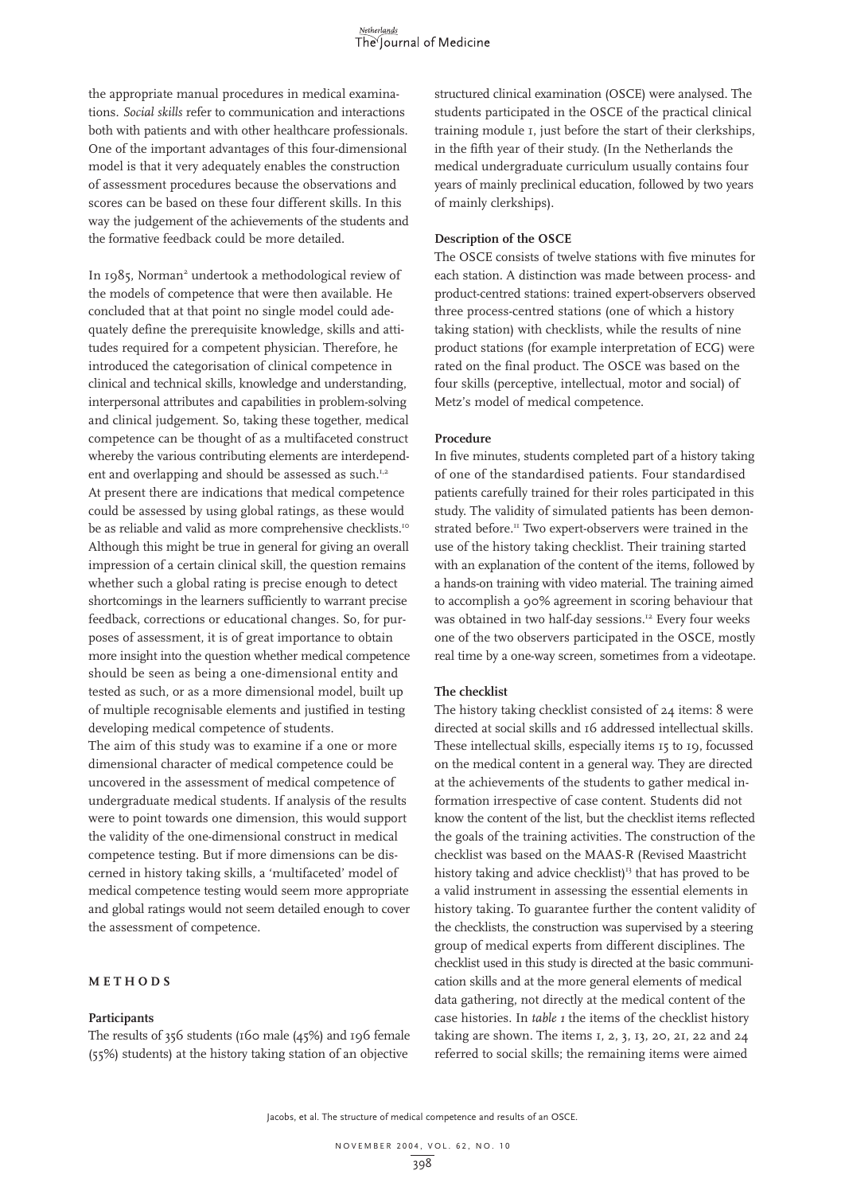the appropriate manual procedures in medical examinations. *Social skills* refer to communication and interactions both with patients and with other healthcare professionals. One of the important advantages of this four-dimensional model is that it very adequately enables the construction of assessment procedures because the observations and scores can be based on these four different skills. In this way the judgement of the achievements of the students and the formative feedback could be more detailed.

In 1985, Norman<sup>2</sup> undertook a methodological review of the models of competence that were then available. He concluded that at that point no single model could adequately define the prerequisite knowledge, skills and attitudes required for a competent physician. Therefore, he introduced the categorisation of clinical competence in clinical and technical skills, knowledge and understanding, interpersonal attributes and capabilities in problem-solving and clinical judgement. So, taking these together, medical competence can be thought of as a multifaceted construct whereby the various contributing elements are interdependent and overlapping and should be assessed as such.<sup>1,2</sup> At present there are indications that medical competence could be assessed by using global ratings, as these would be as reliable and valid as more comprehensive checklists.<sup>10</sup> Although this might be true in general for giving an overall impression of a certain clinical skill, the question remains whether such a global rating is precise enough to detect shortcomings in the learners sufficiently to warrant precise feedback, corrections or educational changes. So, for purposes of assessment, it is of great importance to obtain more insight into the question whether medical competence should be seen as being a one-dimensional entity and tested as such, or as a more dimensional model, built up of multiple recognisable elements and justified in testing developing medical competence of students.

The aim of this study was to examine if a one or more dimensional character of medical competence could be uncovered in the assessment of medical competence of undergraduate medical students. If analysis of the results were to point towards one dimension, this would support the validity of the one-dimensional construct in medical competence testing. But if more dimensions can be discerned in history taking skills, a 'multifaceted' model of medical competence testing would seem more appropriate and global ratings would not seem detailed enough to cover the assessment of competence.

#### **METHODS**

#### **Participants**

The results of 356 students (160 male (45%) and 196 female (55%) students) at the history taking station of an objective

structured clinical examination (OSCE) were analysed. The students participated in the OSCE of the practical clinical training module 1, just before the start of their clerkships, in the fifth year of their study. (In the Netherlands the medical undergraduate curriculum usually contains four years of mainly preclinical education, followed by two years of mainly clerkships).

#### **Description of the OSCE**

The OSCE consists of twelve stations with five minutes for each station. A distinction was made between process- and product-centred stations: trained expert-observers observed three process-centred stations (one of which a history taking station) with checklists, while the results of nine product stations (for example interpretation of ECG) were rated on the final product. The OSCE was based on the four skills (perceptive, intellectual, motor and social) of Metz's model of medical competence.

#### **Procedure**

In five minutes, students completed part of a history taking of one of the standardised patients. Four standardised patients carefully trained for their roles participated in this study. The validity of simulated patients has been demonstrated before.<sup>11</sup> Two expert-observers were trained in the use of the history taking checklist. Their training started with an explanation of the content of the items, followed by a hands-on training with video material. The training aimed to accomplish a 90% agreement in scoring behaviour that was obtained in two half-day sessions.<sup>12</sup> Every four weeks one of the two observers participated in the OSCE, mostly real time by a one-way screen, sometimes from a videotape.

#### **The checklist**

The history taking checklist consisted of 24 items: 8 were directed at social skills and 16 addressed intellectual skills. These intellectual skills, especially items 15 to 19, focussed on the medical content in a general way. They are directed at the achievements of the students to gather medical information irrespective of case content. Students did not know the content of the list, but the checklist items reflected the goals of the training activities. The construction of the checklist was based on the MAAS-R (Revised Maastricht history taking and advice checklist)<sup>13</sup> that has proved to be a valid instrument in assessing the essential elements in history taking. To guarantee further the content validity of the checklists, the construction was supervised by a steering group of medical experts from different disciplines. The checklist used in this study is directed at the basic communication skills and at the more general elements of medical data gathering, not directly at the medical content of the case histories. In *table 1* the items of the checklist history taking are shown. The items 1, 2, 3, 13, 20, 21, 22 and 24 referred to social skills; the remaining items were aimed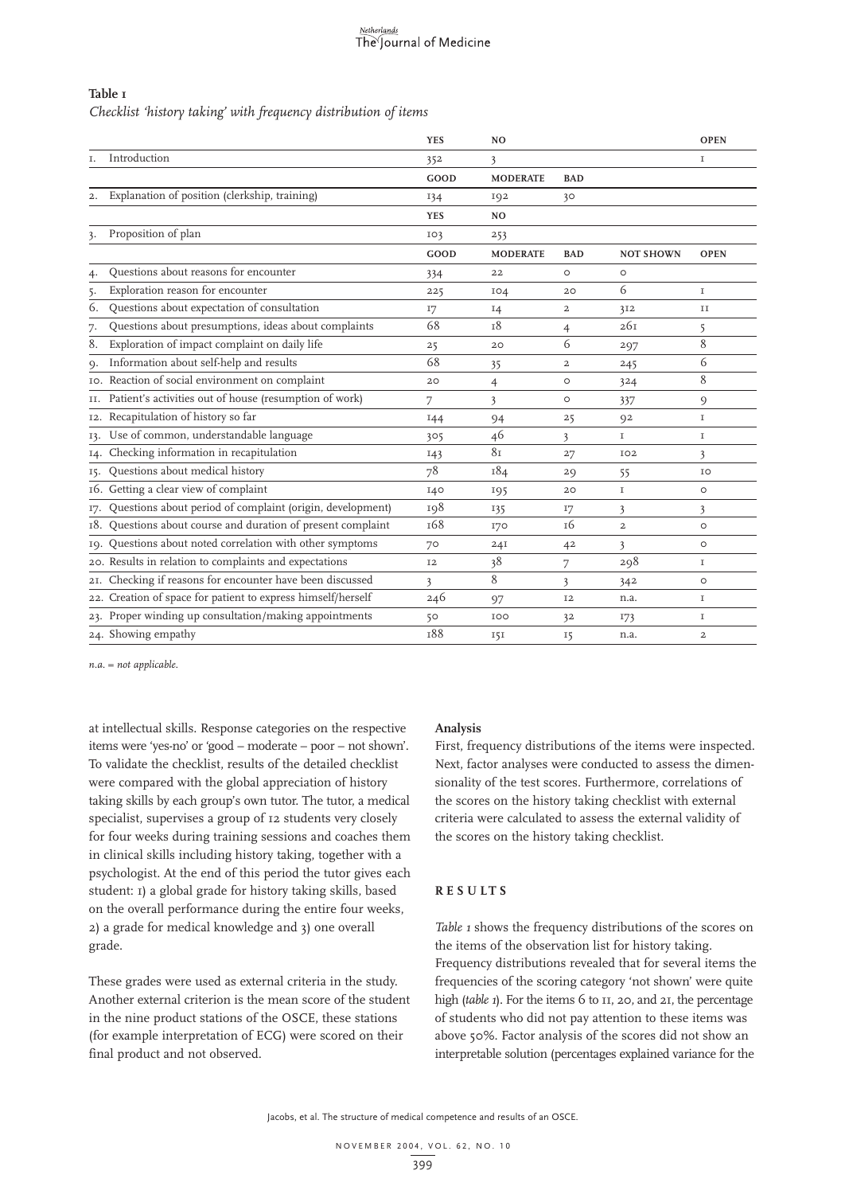## Netherlands<br>The Journal of Medicine

#### **Table 1**

*Checklist 'history taking' with frequency distribution of items*

|     |                                                              | <b>YES</b> | N <sub>O</sub>  |                |                  | <b>OPEN</b>    |
|-----|--------------------------------------------------------------|------------|-----------------|----------------|------------------|----------------|
| Ι.  | Introduction                                                 | 352        | 3               |                |                  | I              |
|     |                                                              | GOOD       | <b>MODERATE</b> | <b>BAD</b>     |                  |                |
| 2.  | Explanation of position (clerkship, training)                | 134        | 192             | 30             |                  |                |
|     |                                                              | <b>YES</b> | N <sub>O</sub>  |                |                  |                |
| 3.  | Proposition of plan                                          | IO3        | 253             |                |                  |                |
|     |                                                              | GOOD       | <b>MODERATE</b> | <b>BAD</b>     | <b>NOT SHOWN</b> | <b>OPEN</b>    |
| 4.  | Questions about reasons for encounter                        | 334        | 22              | $\circ$        | $\circ$          |                |
| 5.  | Exploration reason for encounter                             | 225        | IO4             | 20             | 6                | $\mathbf I$    |
| 6.  | Questions about expectation of consultation                  | 17         | $I_4$           | $\overline{a}$ | 3I2              | П              |
| 7.  | Questions about presumptions, ideas about complaints         | 68         | 18              | $\overline{4}$ | 26I              | 5              |
| 8.  | Exploration of impact complaint on daily life                | 25         | 20              | 6              | 297              | 8              |
| Q.  | Information about self-help and results                      | 68         | 35              | $\overline{a}$ | 245              | 6              |
|     | 10. Reaction of social environment on complaint              | 20         | 4               | $\circ$        | 324              | 8              |
|     | II. Patient's activities out of house (resumption of work)   | 7          | 3               | $\circ$        | 337              | 9              |
|     | 12. Recapitulation of history so far                         | 144        | 94              | 25             | 92               | $\mathbf I$    |
| 13. | Use of common, understandable language                       | 305        | 46              | 3              | $\mathbf I$      | $\mathbf I$    |
| 14. | Checking information in recapitulation                       | 143        | 81              | 27             | IO <sub>2</sub>  | 3              |
| 15. | Questions about medical history                              | 78         | 184             | 29             | 55               | IO             |
|     | 16. Getting a clear view of complaint                        | I40        | 195             | 20             | $\mathbf I$      | $\circ$        |
| I7. | Questions about period of complaint (origin, development)    | 198        | 135             | I7             | 3                | 3              |
|     | 18. Questions about course and duration of present complaint | 168        | <b>170</b>      | <sup>16</sup>  | $\overline{a}$   | $\circ$        |
|     | 19. Questions about noted correlation with other symptoms    | 70         | 24I             | 42             | 3                | $\circ$        |
|     | 20. Results in relation to complaints and expectations       | <b>I2</b>  | 38              | 7              | 298              | I              |
|     | 21. Checking if reasons for encounter have been discussed    | 3          | 8               | 3              | 342              | $\circ$        |
|     | 22. Creation of space for patient to express himself/herself | 246        | 97              | <b>I2</b>      | n.a.             | $\mathbf I$    |
|     | 23. Proper winding up consultation/making appointments       | 50         | IOO             | 32             | 173              | 1              |
|     | 24. Showing empathy                                          | <b>T88</b> | 151             | 15             | n.a.             | $\overline{2}$ |

*n.a. = not applicable.*

at intellectual skills. Response categories on the respective items were 'yes-no' or 'good – moderate – poor – not shown'. To validate the checklist, results of the detailed checklist were compared with the global appreciation of history taking skills by each group's own tutor. The tutor, a medical specialist, supervises a group of 12 students very closely for four weeks during training sessions and coaches them in clinical skills including history taking, together with a psychologist. At the end of this period the tutor gives each student: 1) a global grade for history taking skills, based on the overall performance during the entire four weeks, 2) a grade for medical knowledge and 3) one overall grade.

These grades were used as external criteria in the study. Another external criterion is the mean score of the student in the nine product stations of the OSCE, these stations (for example interpretation of ECG) were scored on their final product and not observed.

#### **Analysis**

First, frequency distributions of the items were inspected. Next, factor analyses were conducted to assess the dimensionality of the test scores. Furthermore, correlations of the scores on the history taking checklist with external criteria were calculated to assess the external validity of the scores on the history taking checklist.

#### **RESULTS**

*Table 1* shows the frequency distributions of the scores on the items of the observation list for history taking. Frequency distributions revealed that for several items the frequencies of the scoring category 'not shown' were quite high (*table 1*). For the items 6 to 11, 20, and 21, the percentage of students who did not pay attention to these items was above 50%. Factor analysis of the scores did not show an interpretable solution (percentages explained variance for the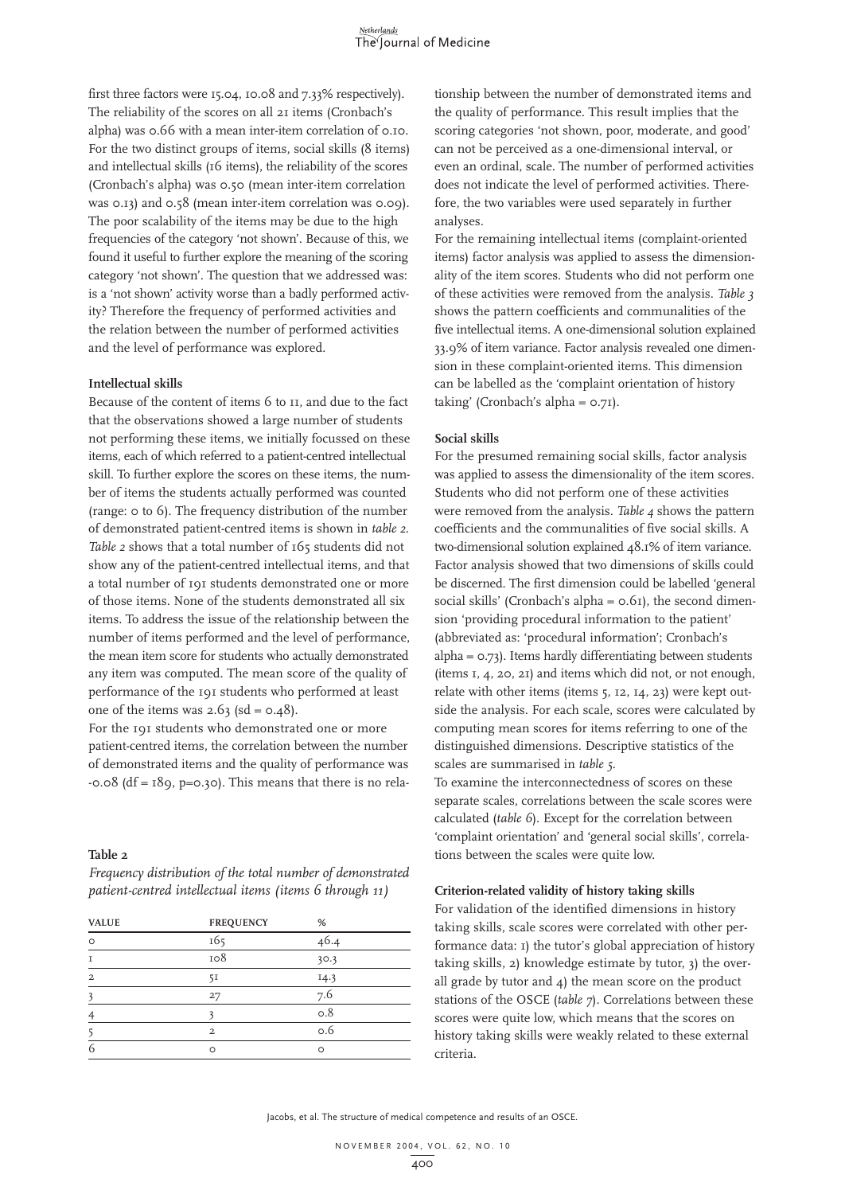first three factors were 15.04, 10.08 and 7.33% respectively). The reliability of the scores on all 21 items (Cronbach's alpha) was 0.66 with a mean inter-item correlation of 0.10. For the two distinct groups of items, social skills (8 items) and intellectual skills (16 items), the reliability of the scores (Cronbach's alpha) was 0.50 (mean inter-item correlation was 0.13) and 0.58 (mean inter-item correlation was 0.09). The poor scalability of the items may be due to the high frequencies of the category 'not shown'. Because of this, we found it useful to further explore the meaning of the scoring category 'not shown'. The question that we addressed was: is a 'not shown' activity worse than a badly performed activity? Therefore the frequency of performed activities and the relation between the number of performed activities and the level of performance was explored.

#### **Intellectual skills**

Because of the content of items 6 to 11, and due to the fact that the observations showed a large number of students not performing these items, we initially focussed on these items, each of which referred to a patient-centred intellectual skill. To further explore the scores on these items, the number of items the students actually performed was counted (range: 0 to 6). The frequency distribution of the number of demonstrated patient-centred items is shown in *table 2*. *Table 2* shows that a total number of 165 students did not show any of the patient-centred intellectual items, and that a total number of 191 students demonstrated one or more of those items. None of the students demonstrated all six items. To address the issue of the relationship between the number of items performed and the level of performance, the mean item score for students who actually demonstrated any item was computed. The mean score of the quality of performance of the 191 students who performed at least one of the items was  $2.63$  (sd =  $0.48$ ).

For the 191 students who demonstrated one or more patient-centred items, the correlation between the number of demonstrated items and the quality of performance was  $-0.08$  (df =  $189$ , p=0.30). This means that there is no rela-

#### **Table 2**

*Frequency distribution of the total number of demonstrated patient-centred intellectual items (items 6 through 11)*

| <b>VALUE</b>   | <b>FREQUENCY</b> | %    |  |
|----------------|------------------|------|--|
| $\circ$        | 165              | 46.4 |  |
| T              | 108              | 30.3 |  |
| $\overline{a}$ | 51               | 14.3 |  |
| 3              | 27               | 7.6  |  |
| 4              |                  | 0.8  |  |
|                | $\overline{2}$   | 0.6  |  |
| 6              | $\circ$          | O    |  |
|                |                  |      |  |

tionship between the number of demonstrated items and the quality of performance. This result implies that the scoring categories 'not shown, poor, moderate, and good' can not be perceived as a one-dimensional interval, or even an ordinal, scale. The number of performed activities does not indicate the level of performed activities. Therefore, the two variables were used separately in further analyses.

For the remaining intellectual items (complaint-oriented items) factor analysis was applied to assess the dimensionality of the item scores. Students who did not perform one of these activities were removed from the analysis. *Table 3* shows the pattern coefficients and communalities of the five intellectual items. A one-dimensional solution explained 33.9% of item variance. Factor analysis revealed one dimension in these complaint-oriented items. This dimension can be labelled as the 'complaint orientation of history taking' (Cronbach's alpha = 0.71).

#### **Social skills**

For the presumed remaining social skills, factor analysis was applied to assess the dimensionality of the item scores. Students who did not perform one of these activities were removed from the analysis. *Table 4* shows the pattern coefficients and the communalities of five social skills. A two-dimensional solution explained 48.1% of item variance. Factor analysis showed that two dimensions of skills could be discerned. The first dimension could be labelled 'general social skills' (Cronbach's alpha =  $0.6$ I), the second dimension 'providing procedural information to the patient' (abbreviated as: 'procedural information'; Cronbach's alpha = 0.73). Items hardly differentiating between students (items 1, 4, 20, 21) and items which did not, or not enough, relate with other items (items 5, 12, 14, 23) were kept outside the analysis. For each scale, scores were calculated by computing mean scores for items referring to one of the distinguished dimensions. Descriptive statistics of the scales are summarised in *table 5*.

To examine the interconnectedness of scores on these separate scales, correlations between the scale scores were calculated (*table 6*). Except for the correlation between 'complaint orientation' and 'general social skills', correlations between the scales were quite low.

#### **Criterion-related validity of history taking skills**

For validation of the identified dimensions in history taking skills, scale scores were correlated with other performance data: 1) the tutor's global appreciation of history taking skills, 2) knowledge estimate by tutor, 3) the overall grade by tutor and 4) the mean score on the product stations of the OSCE (*table 7*). Correlations between these scores were quite low, which means that the scores on history taking skills were weakly related to these external criteria.

Jacobs, et al. The structure of medical competence and results of an OSCE.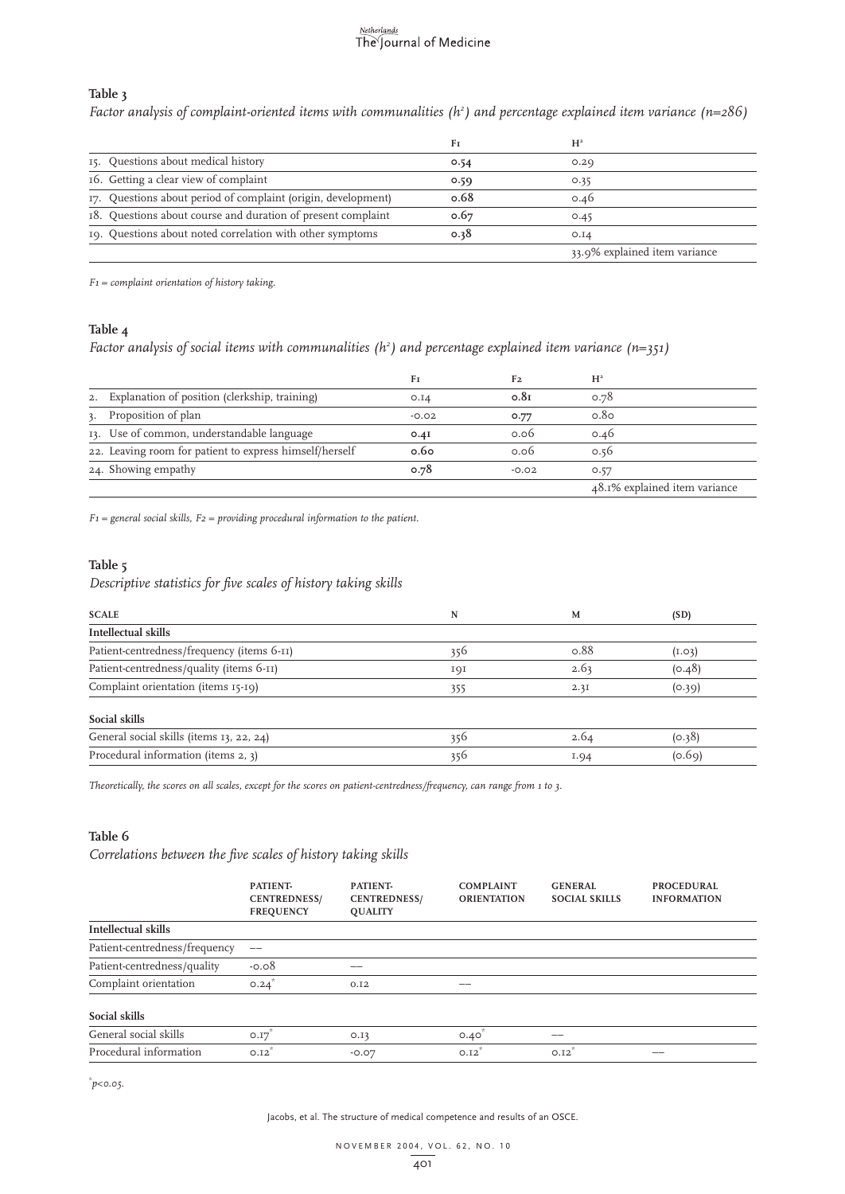### Netherlands<br>The Journal of Medicine

#### **Table 3**

*Factor analysis of complaint-oriented items with communalities (h2 ) and percentage explained item variance (n=286)*

|                                                               | Fт   | $H^2$                         |
|---------------------------------------------------------------|------|-------------------------------|
| 15. Questions about medical history                           | 0.54 | 0.29                          |
| 16. Getting a clear view of complaint                         | 0.59 | 0.35                          |
| 17. Questions about period of complaint (origin, development) | 0.68 | 0.46                          |
| 18. Questions about course and duration of present complaint  | 0.67 | 0.45                          |
| 19. Questions about noted correlation with other symptoms     | 0.38 | O.IA                          |
|                                                               |      | 33.9% explained item variance |

*F1 = complaint orientation of history taking.*

#### **Table 4**

*Factor analysis of social items with communalities (h2 ) and percentage explained item variance (n=351)*

|                                                         | Fı      | F <sub>2</sub>   | $H^2$                         |
|---------------------------------------------------------|---------|------------------|-------------------------------|
| 2. Explanation of position (clerkship, training)        | O.I4    | 0.8 <sub>I</sub> | 0.78                          |
| 3. Proposition of plan                                  | $-0.02$ | 0.77             | 0.80                          |
| 13. Use of common, understandable language              | O.4I    | 0.06             | 0.46                          |
| 22. Leaving room for patient to express himself/herself | 0.60    | 0.06             | 0.56                          |
| 24. Showing empathy                                     | 0.78    | $-0.02$          | 0.57                          |
|                                                         |         |                  | 48.1% explained item variance |

*F1 = general social skills, F2 = providing procedural information to the patient.*

#### **Table 5**

*Descriptive statistics for five scales of history taking skills*

| <b>SCALE</b>                               | N   | M    | (SD)   |
|--------------------------------------------|-----|------|--------|
| Intellectual skills                        |     |      |        |
| Patient-centredness/frequency (items 6-11) | 356 | 0.88 | (I.03) |
| Patient-centredness/quality (items 6-11)   | 191 | 2.63 | (0.48) |
| Complaint orientation (items 15-19)        | 355 | 2.3I | (0.39) |
| Social skills                              |     |      |        |
| General social skills (items 13, 22, 24)   | 356 | 2.64 | (0.38) |
| Procedural information (items 2, 3)        | 356 | I.94 | (0.69) |

*Theoretically, the scores on all scales, except for the scores on patient-centredness/frequency, can range from 1 to 3.*

#### **Table 6**

*Correlations between the five scales of history taking skills*

|                               | PATIENT-<br><b>CENTREDNESS/</b><br><b>FREQUENCY</b> | PATIENT-<br><b>CENTREDNESS/</b><br><b>QUALITY</b> | <b>COMPLAINT</b><br><b>ORIENTATION</b> | <b>GENERAL</b><br><b>SOCIAL SKILLS</b> | <b>PROCEDURAL</b><br><b>INFORMATION</b> |
|-------------------------------|-----------------------------------------------------|---------------------------------------------------|----------------------------------------|----------------------------------------|-----------------------------------------|
| Intellectual skills           |                                                     |                                                   |                                        |                                        |                                         |
| Patient-centredness/frequency | $\qquad \qquad -$                                   |                                                   |                                        |                                        |                                         |
| Patient-centredness/quality   | $-0.08$                                             |                                                   |                                        |                                        |                                         |
| Complaint orientation         | 0.24                                                | 0.12                                              | --                                     |                                        |                                         |
| Social skills                 |                                                     |                                                   |                                        |                                        |                                         |
| General social skills         | O.I7                                                | 0.13                                              | $0.40$ <sup>*</sup>                    | --                                     |                                         |
| Procedural information        | 0.12                                                | $-0.07$                                           | 0.12                                   | 0.12                                   | --                                      |

*\* p<0.05.*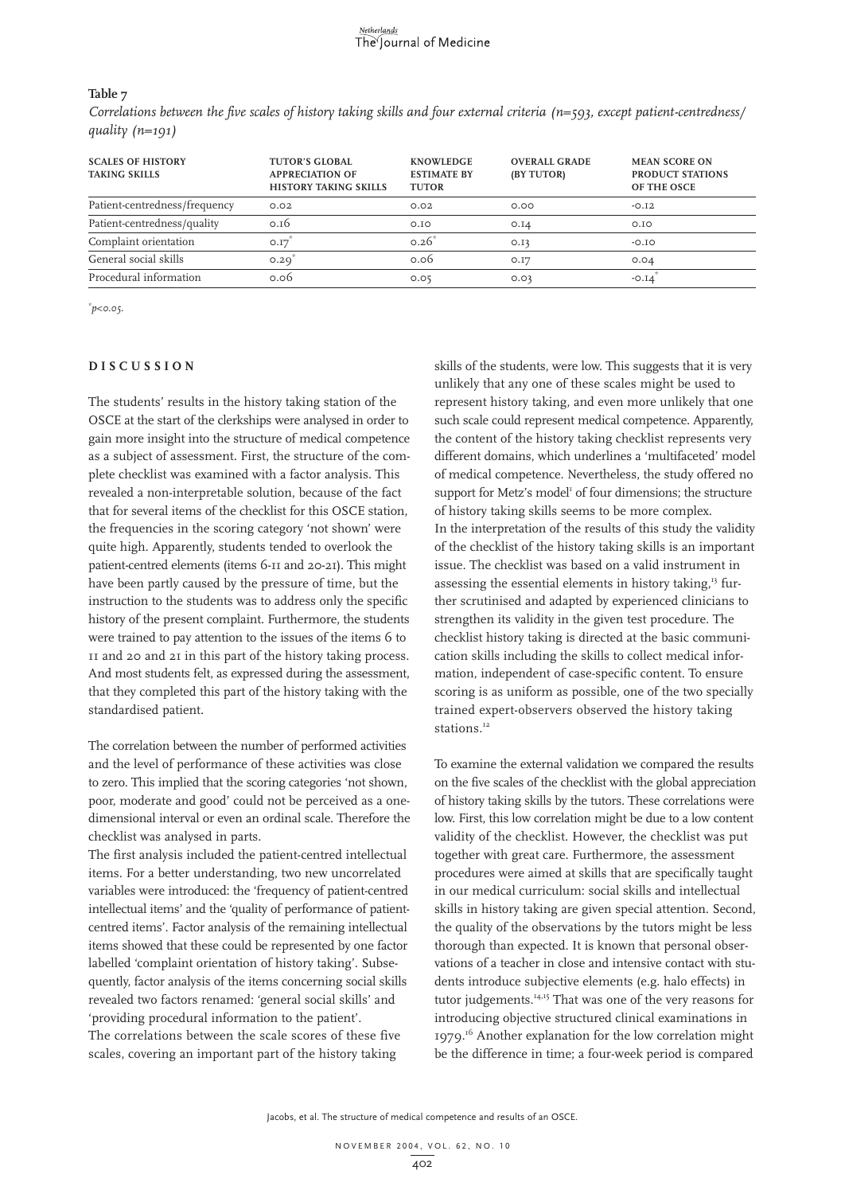#### **Table 7**

*Correlations between the five scales of history taking skills and four external criteria (n=593, except patient-centredness/ quality (n=191)*

| <b>SCALES OF HISTORY</b><br><b>TAKING SKILLS</b> | <b>TUTOR'S GLOBAL</b><br><b>APPRECIATION OF</b><br><b>HISTORY TAKING SKILLS</b> | <b>KNOWLEDGE</b><br><b>ESTIMATE BY</b><br><b>TUTOR</b> | <b>OVERALL GRADE</b><br>(BY TUTOR) | <b>MEAN SCORE ON</b><br>PRODUCT STATIONS<br>OF THE OSCE |
|--------------------------------------------------|---------------------------------------------------------------------------------|--------------------------------------------------------|------------------------------------|---------------------------------------------------------|
| Patient-centredness/frequency                    | 0.02                                                                            | 0.02                                                   | 0.00                               | $-0.12$                                                 |
| Patient-centredness/quality                      | 0.16                                                                            | O.IO                                                   | O.I4                               | O.IO                                                    |
| Complaint orientation                            | O.I7                                                                            | $0.26^{*}$                                             | O.I3                               | $-0.10$                                                 |
| General social skills                            | 0.29                                                                            | 0.06                                                   | O.I7                               | 0.04                                                    |
| Procedural information                           | 0.06                                                                            | 0.05                                                   | 0.03                               | $-0.14$                                                 |

*\* p<0.05.*

#### **DISCUSSION**

The students' results in the history taking station of the OSCE at the start of the clerkships were analysed in order to gain more insight into the structure of medical competence as a subject of assessment. First, the structure of the complete checklist was examined with a factor analysis. This revealed a non-interpretable solution, because of the fact that for several items of the checklist for this OSCE station, the frequencies in the scoring category 'not shown' were quite high. Apparently, students tended to overlook the patient-centred elements (items 6-11 and 20-21). This might have been partly caused by the pressure of time, but the instruction to the students was to address only the specific history of the present complaint. Furthermore, the students were trained to pay attention to the issues of the items 6 to 11 and 20 and 21 in this part of the history taking process. And most students felt, as expressed during the assessment, that they completed this part of the history taking with the standardised patient.

The correlation between the number of performed activities and the level of performance of these activities was close to zero. This implied that the scoring categories 'not shown, poor, moderate and good' could not be perceived as a onedimensional interval or even an ordinal scale. Therefore the checklist was analysed in parts.

The first analysis included the patient-centred intellectual items. For a better understanding, two new uncorrelated variables were introduced: the 'frequency of patient-centred intellectual items' and the 'quality of performance of patientcentred items'. Factor analysis of the remaining intellectual items showed that these could be represented by one factor labelled 'complaint orientation of history taking'. Subsequently, factor analysis of the items concerning social skills revealed two factors renamed: 'general social skills' and 'providing procedural information to the patient'. The correlations between the scale scores of these five scales, covering an important part of the history taking

skills of the students, were low. This suggests that it is very unlikely that any one of these scales might be used to represent history taking, and even more unlikely that one such scale could represent medical competence. Apparently, the content of the history taking checklist represents very different domains, which underlines a 'multifaceted' model of medical competence. Nevertheless, the study offered no support for Metz's model<sup>1</sup> of four dimensions; the structure of history taking skills seems to be more complex. In the interpretation of the results of this study the validity of the checklist of the history taking skills is an important issue. The checklist was based on a valid instrument in assessing the essential elements in history taking,<sup>13</sup> further scrutinised and adapted by experienced clinicians to strengthen its validity in the given test procedure. The checklist history taking is directed at the basic communication skills including the skills to collect medical information, independent of case-specific content. To ensure scoring is as uniform as possible, one of the two specially trained expert-observers observed the history taking stations.<sup>12</sup>

To examine the external validation we compared the results on the five scales of the checklist with the global appreciation of history taking skills by the tutors. These correlations were low. First, this low correlation might be due to a low content validity of the checklist. However, the checklist was put together with great care. Furthermore, the assessment procedures were aimed at skills that are specifically taught in our medical curriculum: social skills and intellectual skills in history taking are given special attention. Second, the quality of the observations by the tutors might be less thorough than expected. It is known that personal observations of a teacher in close and intensive contact with students introduce subjective elements (e.g. halo effects) in tutor judgements.<sup>14,15</sup> That was one of the very reasons for introducing objective structured clinical examinations in 1979.<sup>16</sup> Another explanation for the low correlation might be the difference in time; a four-week period is compared